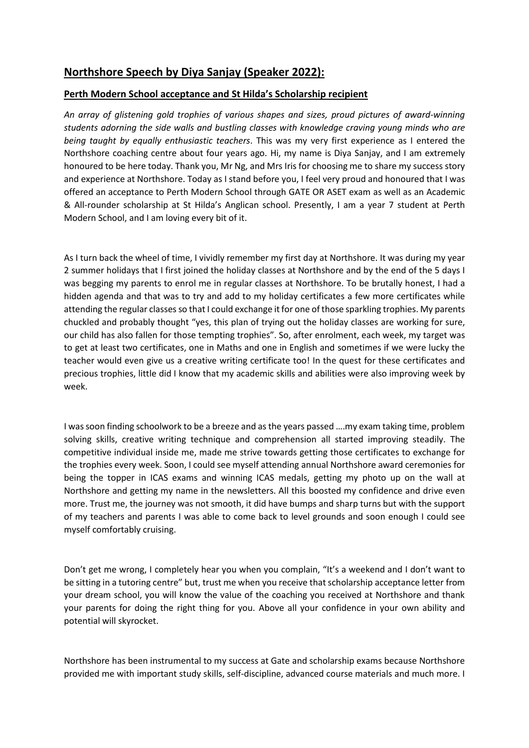## **Northshore Speech by Diya Sanjay (Speaker 2022):**

## **Perth Modern School acceptance and St Hilda's Scholarship recipient**

*An array of glistening gold trophies of various shapes and sizes, proud pictures of award-winning students adorning the side walls and bustling classes with knowledge craving young minds who are being taught by equally enthusiastic teachers*. This was my very first experience as I entered the Northshore coaching centre about four years ago. Hi, my name is Diya Sanjay, and I am extremely honoured to be here today. Thank you, Mr Ng, and Mrs Iris for choosing me to share my success story and experience at Northshore. Today as I stand before you, I feel very proud and honoured that I was offered an acceptance to Perth Modern School through GATE OR ASET exam as well as an Academic & All-rounder scholarship at St Hilda's Anglican school. Presently, I am a year 7 student at Perth Modern School, and I am loving every bit of it.

As I turn back the wheel of time, I vividly remember my first day at Northshore. It was during my year 2 summer holidays that I first joined the holiday classes at Northshore and by the end of the 5 days I was begging my parents to enrol me in regular classes at Northshore. To be brutally honest, I had a hidden agenda and that was to try and add to my holiday certificates a few more certificates while attending the regular classes so that I could exchange it for one of those sparkling trophies. My parents chuckled and probably thought "yes, this plan of trying out the holiday classes are working for sure, our child has also fallen for those tempting trophies". So, after enrolment, each week, my target was to get at least two certificates, one in Maths and one in English and sometimes if we were lucky the teacher would even give us a creative writing certificate too! In the quest for these certificates and precious trophies, little did I know that my academic skills and abilities were also improving week by week.

I was soon finding schoolwork to be a breeze and as the years passed ….my exam taking time, problem solving skills, creative writing technique and comprehension all started improving steadily. The competitive individual inside me, made me strive towards getting those certificates to exchange for the trophies every week. Soon, I could see myself attending annual Northshore award ceremonies for being the topper in ICAS exams and winning ICAS medals, getting my photo up on the wall at Northshore and getting my name in the newsletters. All this boosted my confidence and drive even more. Trust me, the journey was not smooth, it did have bumps and sharp turns but with the support of my teachers and parents I was able to come back to level grounds and soon enough I could see myself comfortably cruising.

Don't get me wrong, I completely hear you when you complain, "It's a weekend and I don't want to be sitting in a tutoring centre" but, trust me when you receive that scholarship acceptance letter from your dream school, you will know the value of the coaching you received at Northshore and thank your parents for doing the right thing for you. Above all your confidence in your own ability and potential will skyrocket.

Northshore has been instrumental to my success at Gate and scholarship exams because Northshore provided me with important study skills, self-discipline, advanced course materials and much more. I